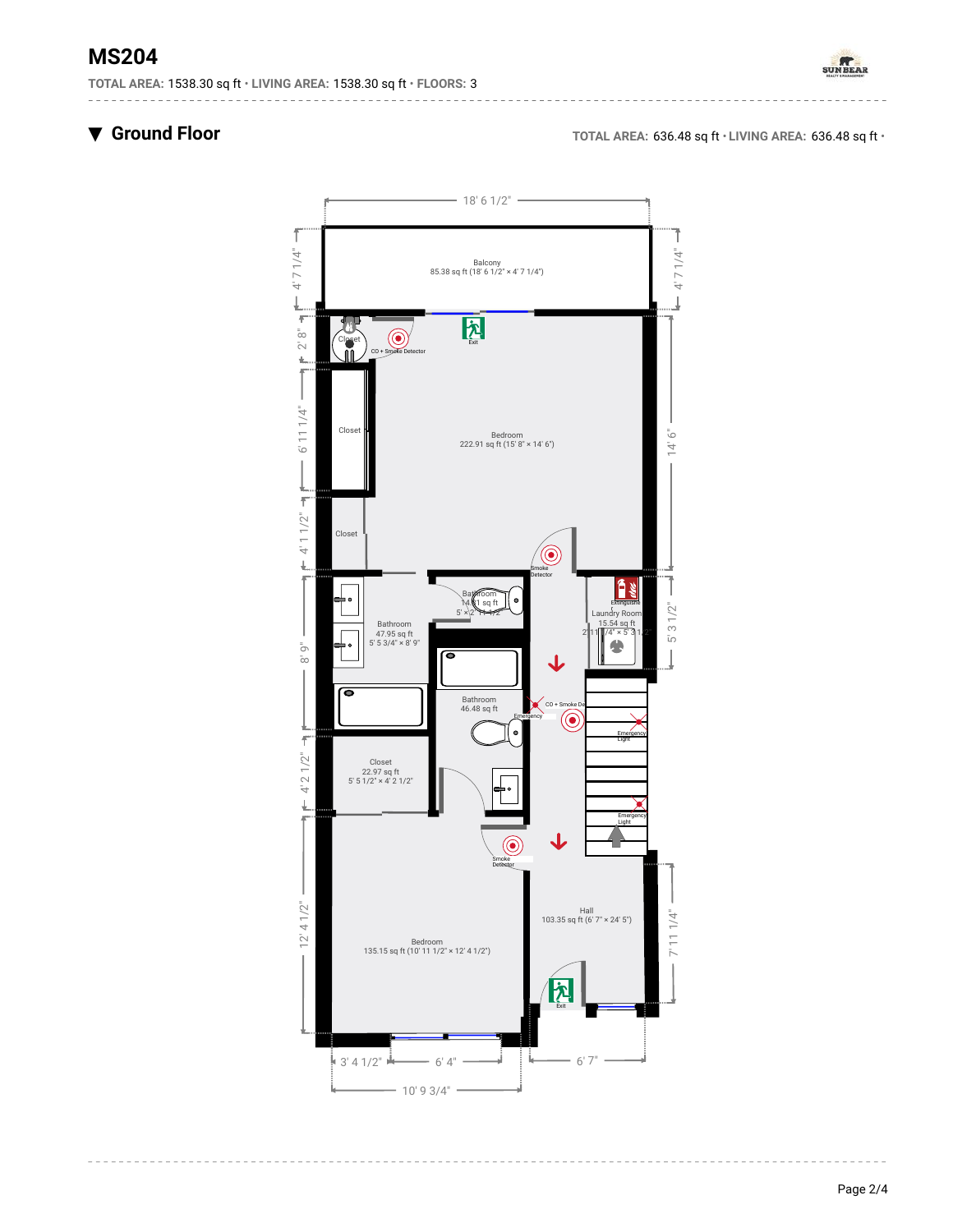# **MS204**

**TOTAL AREA:** 1538.30 sq ft • **LIVING AREA:** 1538.30 sq ft • **FLOORS:** 3



▼ **Ground Floor TOTAL AREA:** 636.48 sq ft • **LIVING AREA:** 636.48 sq ft •

<u>\_\_\_\_\_\_\_\_\_\_\_\_</u>

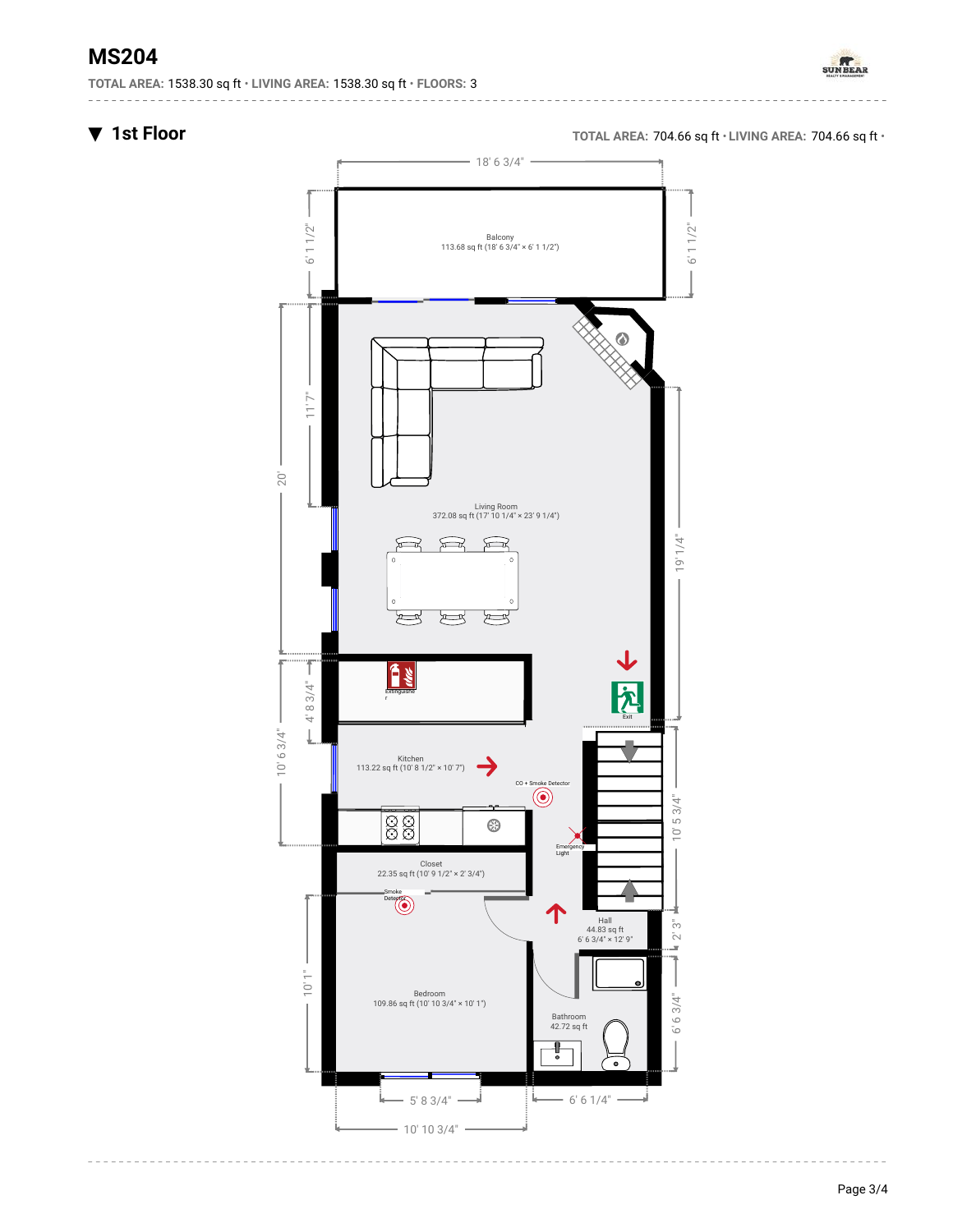# **MS204**

**TOTAL AREA:** 1538.30 sq ft • **LIVING AREA:** 1538.30 sq ft • **FLOORS:** 3



▼ **1st Floor TOTAL AREA:** 704.66 sq ft • **LIVING AREA:** 704.66 sq ft •